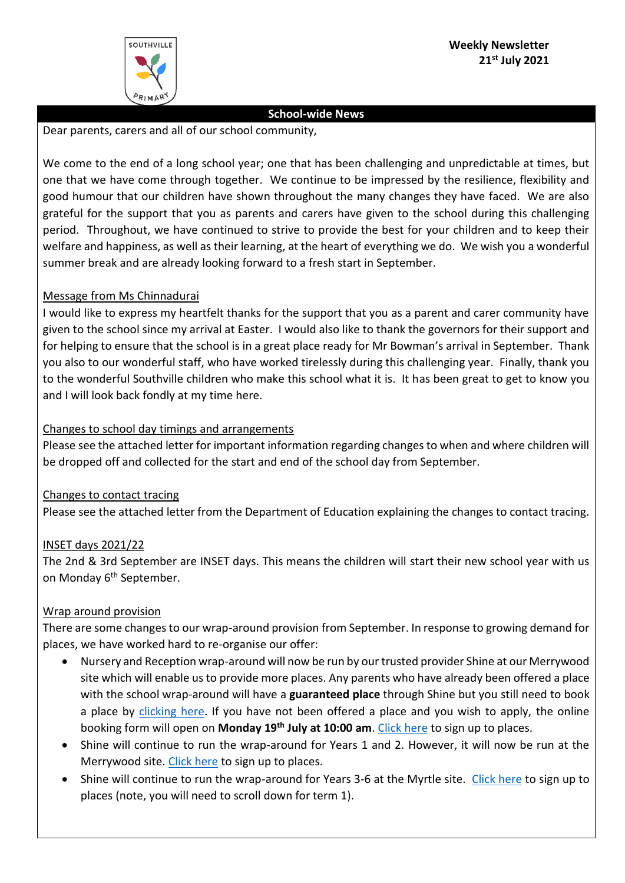

## **School-wide News**

Dear parents, carers and all of our school community,

We come to the end of a long school year; one that has been challenging and unpredictable at times, but one that we have come through together. We continue to be impressed by the resilience, flexibility and good humour that our children have shown throughout the many changes they have faced. We are also grateful for the support that you as parents and carers have given to the school during this challenging period. Throughout, we have continued to strive to provide the best for your children and to keep their welfare and happiness, as well as their learning, at the heart of everything we do. We wish you a wonderful summer break and are already looking forward to a fresh start in September.

# Message from Ms Chinnadurai

I would like to express my heartfelt thanks for the support that you as a parent and carer community have given to the school since my arrival at Easter. I would also like to thank the governors for their support and for helping to ensure that the school is in a great place ready for Mr Bowman's arrival in September. Thank you also to our wonderful staff, who have worked tirelessly during this challenging year. Finally, thank you to the wonderful Southville children who make this school what it is. It has been great to get to know you and I will look back fondly at my time here.

# Changes to school day timings and arrangements

Please see the attached letter for important information regarding changes to when and where children will be dropped off and collected for the start and end of the school day from September.

# Changes to contact tracing

Please see the attached letter from the Department of Education explaining the changes to contact tracing.

#### INSET days 2021/22

The 2nd & 3rd September are INSET days. This means the children will start their new school year with us on Monday 6<sup>th</sup> September.

#### Wrap around provision

There are some changes to our wrap-around provision from September. In response to growing demand for places, we have worked hard to re-organise our offer:

- Nursery and Reception wrap-around will now be run by our trusted provider Shine at our Merrywood site which will enable us to provide more places. Any parents who have already been offered a place with the school wrap-around will have a **guaranteed place** through Shine but you still need to book a place by [clicking here.](https://www.myshine.co.uk/school/southville-primary-school-infants-site) If you have not been offered a place and you wish to apply, the online booking form will open on **Monday 19th July at 10:00 am**. [Click here](https://www.myshine.co.uk/school/southville-primary-school-infants-site) to sign up to places.
- Shine will continue to run the wrap-around for Years 1 and 2. However, it will now be run at the Merrywood site. [Click here](https://www.myshine.co.uk/school/southville-primary-school-infants-site) to sign up to places.
- Shine will continue to run the wrap-around for Years 3-6 at the Myrtle site. [Click here](https://www.myshine.co.uk/school/southville-primary-school) to sign up to places (note, you will need to scroll down for term 1).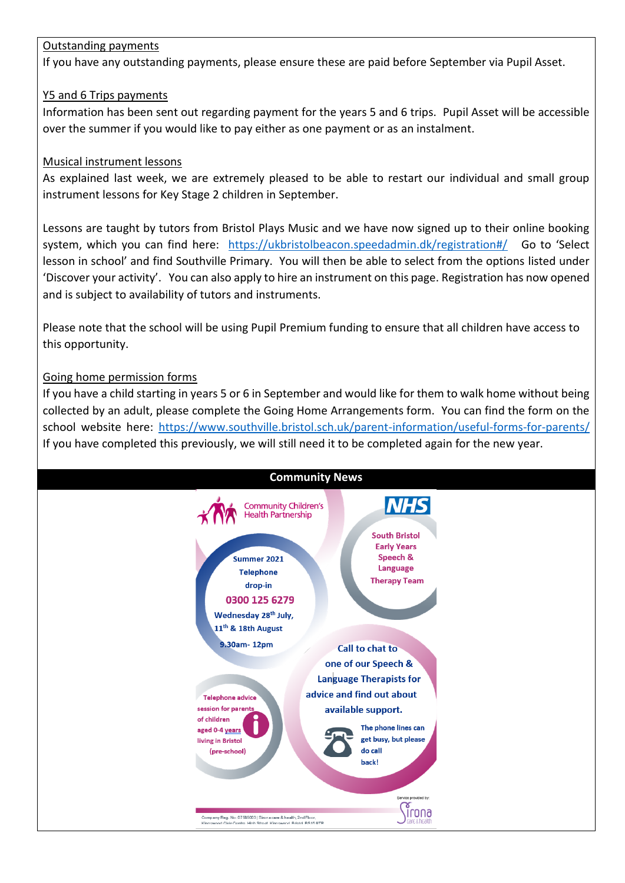# Outstanding payments

If you have any outstanding payments, please ensure these are paid before September via Pupil Asset.

# Y5 and 6 Trips payments

Information has been sent out regarding payment for the years 5 and 6 trips. Pupil Asset will be accessible over the summer if you would like to pay either as one payment or as an instalment.

# Musical instrument lessons

As explained last week, we are extremely pleased to be able to restart our individual and small group instrument lessons for Key Stage 2 children in September.

Lessons are taught by tutors from Bristol Plays Music and we have now signed up to their online booking system, which you can find here: <https://ukbristolbeacon.speedadmin.dk/registration#/> Go to 'Select lesson in school' and find Southville Primary. You will then be able to select from the options listed under 'Discover your activity'. You can also apply to hire an instrument on this page. Registration has now opened and is subject to availability of tutors and instruments.

Please note that the school will be using Pupil Premium funding to ensure that all children have access to this opportunity.

# Going home permission forms

If you have a child starting in years 5 or 6 in September and would like for them to walk home without being collected by an adult, please complete the Going Home Arrangements form. You can find the form on the school website here: <https://www.southville.bristol.sch.uk/parent-information/useful-forms-for-parents/> If you have completed this previously, we will still need it to be completed again for the new year.

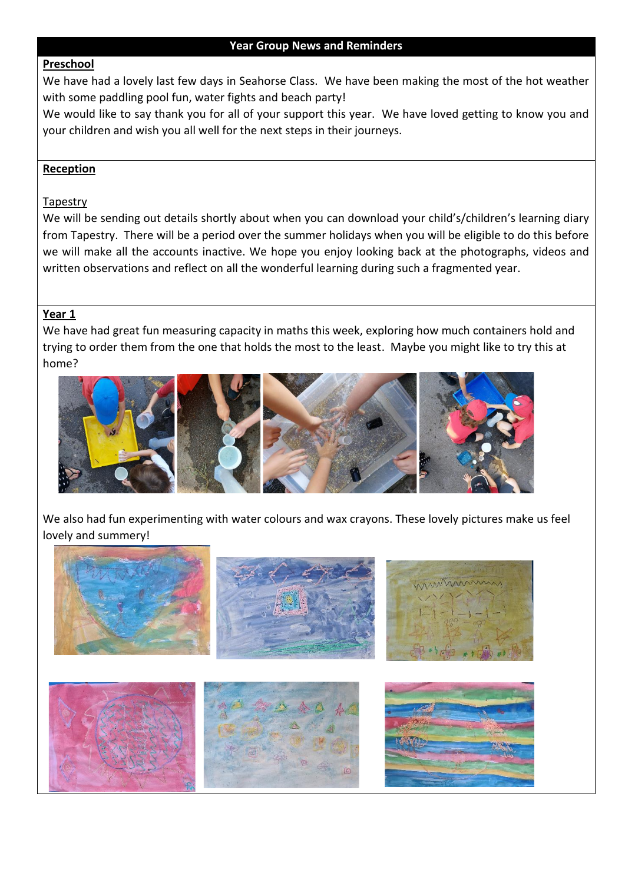## **Preschool**

We have had a lovely last few days in Seahorse Class. We have been making the most of the hot weather with some paddling pool fun, water fights and beach party!

We would like to say thank you for all of your support this year. We have loved getting to know you and your children and wish you all well for the next steps in their journeys.

## **Reception**

## Tapestry

We will be sending out details shortly about when you can download your child's/children's learning diary from Tapestry. There will be a period over the summer holidays when you will be eligible to do this before we will make all the accounts inactive. We hope you enjoy looking back at the photographs, videos and written observations and reflect on all the wonderful learning during such a fragmented year.

## **Year 1**

We have had great fun measuring capacity in maths this week, exploring how much containers hold and trying to order them from the one that holds the most to the least. Maybe you might like to try this at home?



We also had fun experimenting with water colours and wax crayons. These lovely pictures make us feel lovely and summery!

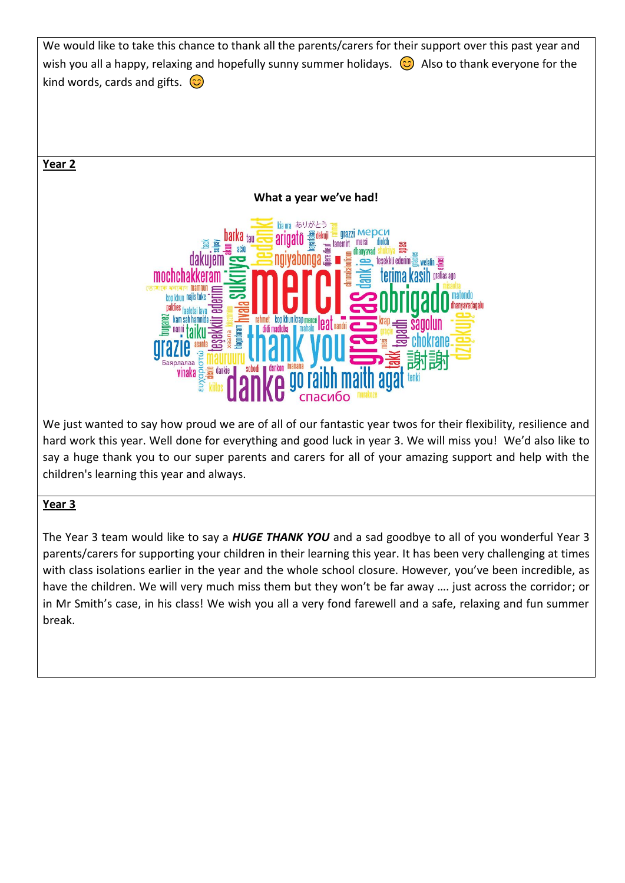

The Year 3 team would like to say a *HUGE THANK YOU* and a sad goodbye to all of you wonderful Year 3 parents/carers for supporting your children in their learning this year. It has been very challenging at times with class isolations earlier in the year and the whole school closure. However, you've been incredible, as have the children. We will very much miss them but they won't be far away …. just across the corridor; or in Mr Smith's case, in his class! We wish you all a very fond farewell and a safe, relaxing and fun summer break.